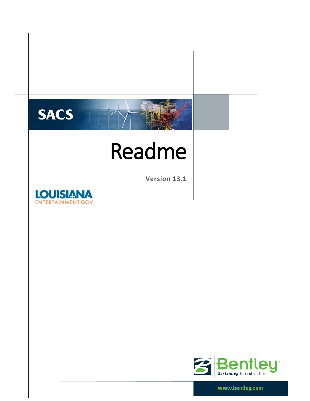

# Readme

**Version 13.1**





www.bentley.com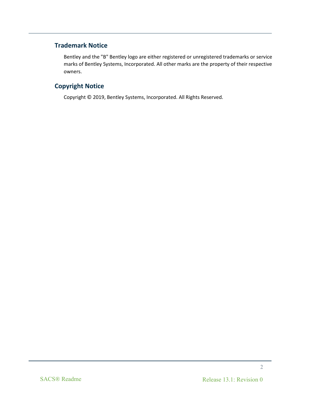### **Trademark Notice**

Bentley and the "B" Bentley logo are either registered or unregistered trademarks or service marks of Bentley Systems, Incorporated. All other marks are the property of their respective owners.

### **Copyright Notice**

Copyright © 2019, Bentley Systems, Incorporated. All Rights Reserved.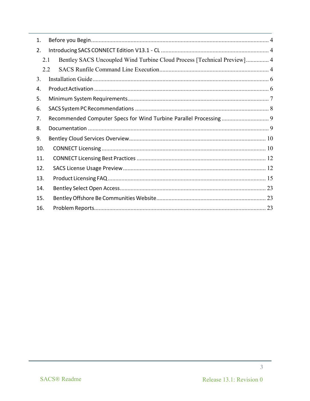| 1.  |                                                                                |  |  |  |  |  |  |
|-----|--------------------------------------------------------------------------------|--|--|--|--|--|--|
| 2.  |                                                                                |  |  |  |  |  |  |
|     | Bentley SACS Uncoupled Wind Turbine Cloud Process [Technical Preview] 4<br>2.1 |  |  |  |  |  |  |
| 2.2 |                                                                                |  |  |  |  |  |  |
| 3.  |                                                                                |  |  |  |  |  |  |
| 4.  |                                                                                |  |  |  |  |  |  |
| 5.  |                                                                                |  |  |  |  |  |  |
| 6.  |                                                                                |  |  |  |  |  |  |
| 7.  |                                                                                |  |  |  |  |  |  |
| 8.  |                                                                                |  |  |  |  |  |  |
| 9.  |                                                                                |  |  |  |  |  |  |
| 10. |                                                                                |  |  |  |  |  |  |
| 11. |                                                                                |  |  |  |  |  |  |
| 12. |                                                                                |  |  |  |  |  |  |
| 13. |                                                                                |  |  |  |  |  |  |
| 14. |                                                                                |  |  |  |  |  |  |
| 15. |                                                                                |  |  |  |  |  |  |
| 16. |                                                                                |  |  |  |  |  |  |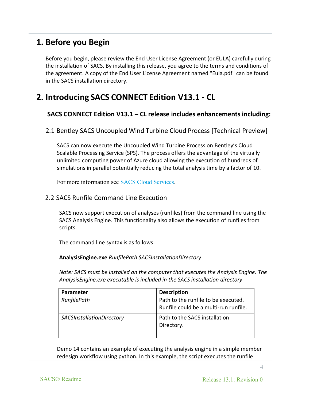### **1. Before you Begin**

Before you begin, please review the End User License Agreement (or EULA) carefully during the installation of SACS. By installing this release, you agree to the terms and conditions of the agreement. A copy of the End User License Agreement named "Eula.pdf" can be found in the SACS installation directory.

### **2. Introducing SACS CONNECT Edition V13.1 - CL**

### **SACS CONNECT Edition V13.1 – CL release includes enhancements including:**

2.1 Bentley SACS Uncoupled Wind Turbine Cloud Process [Technical Preview]

SACS can now execute the Uncoupled Wind Turbine Process on Bentley's Cloud Scalable Processing Service (SPS). The process offers the advantage of the virtually unlimited computing power of Azure cloud allowing the execution of hundreds of simulations in parallel potentially reducing the total analysis time by a factor of 10.

For more information see [SACS Cloud Services.](https://www.bentley.com/en/products/product-line/offshore-structural-analysis-software/sacs-cloud-services)

### 2.2 SACS Runfile Command Line Execution

SACS now support execution of analyses (runfiles) from the command line using the SACS Analysis Engine. This functionality also allows the execution of runfiles from scripts.

The command line syntax is as follows:

### **AnalysisEngine.exe** *RunfilePath SACSInstallationDirectory*

*Note: SACS must be installed on the computer that executes the Analysis Engine. The AnalysisEngine.exe executable is included in the SACS installation directory*

| Parameter                        | <b>Description</b>                                                           |
|----------------------------------|------------------------------------------------------------------------------|
| RunfilePath                      | Path to the runfile to be executed.<br>Runfile could be a multi-run runfile. |
|                                  |                                                                              |
| <b>SACSInstallationDirectory</b> | Path to the SACS installation                                                |
|                                  | Directory.                                                                   |
|                                  |                                                                              |

Demo 14 contains an example of executing the analysis engine in a simple member redesign workflow using python. In this example, the script executes the runfile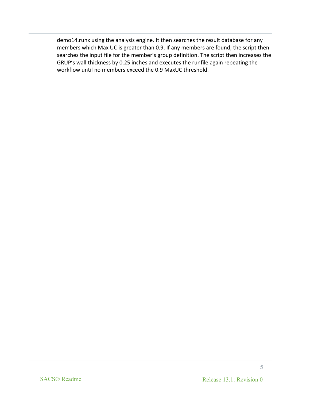demo14.runx using the analysis engine. It then searches the result database for any members which Max UC is greater than 0.9. If any members are found, the script then searches the input file for the member's group definition. The script then increases the GRUP's wall thickness by 0.25 inches and executes the runfile again repeating the workflow until no members exceed the 0.9 MaxUC threshold.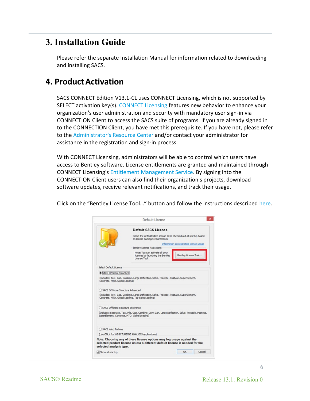# **3. Installation Guide**

Please refer the separate Installation Manual for information related to downloading and installing SACS.

# **4. ProductActivation**

SACS CONNECT Edition V13.1-CL uses CONNECT Licensing, which is not supported by SELECT activation key(s). [CONNECT Licensing](https://communities.bentley.com/products/licensing/w/licensing__wiki/37813/connect-licensing) features new behavior to enhance your organization's user administration and security with mandatory user sign-in via CONNECTION Client to access the SACS suite of programs. If you are already signed in to the CONNECTION Client, you have met this prerequisite. If you have not, please refer to th[e Administrator's Resource](https://www.bentley.com/en/perspectives-and-viewpoints/topics/campaign/bentley-user-registration) Center and/or contact your administrator for assistance in the registration and sign-in process.

With CONNECT Licensing, administrators will be able to control which users have access to Bentley software. License entitlements are granted and maintained through CONNECT Licensing's [Entitlement Management Service.](https://communities.bentley.com/products/licensing/w/licensing__wiki/38028/2---entitlement-management-configuration) By signing into the CONNECTION Client users can also find their organization's projects, download software updates, receive relevant notifications, and track their usage.

Click on the "Bentley License Tool…" button and follow the instructions described [here.](https://communities.bentley.com/products/licensing/w/licensing__wiki/40262/how-to-activate-products-under-connect-licensing)

|                                              | Default License                                                                                                                                        |                                          |
|----------------------------------------------|--------------------------------------------------------------------------------------------------------------------------------------------------------|------------------------------------------|
|                                              | <b>Default SACS License</b>                                                                                                                            |                                          |
|                                              | Select the default SACS license to be checked out at startup based<br>on license package requirements:                                                 |                                          |
|                                              |                                                                                                                                                        | Information on restricting license usage |
|                                              | Bentley License Activation:                                                                                                                            |                                          |
|                                              | Note: You can activate all your<br>licenses by launching the Bentley<br>License Tool.                                                                  | Bentley License Tool                     |
| Select Default License                       |                                                                                                                                                        |                                          |
| SACS Offshore Structure                      |                                                                                                                                                        |                                          |
|                                              | (Indudes: Tow, Gap, Combine, Large Deflection, Solve, Precede, Postvue, SuperElement,                                                                  |                                          |
| Concrete, MTO, Global Loading)               |                                                                                                                                                        |                                          |
| SACS Offshore Structure Advanced             |                                                                                                                                                        |                                          |
|                                              | (Includes: Tow, Gao, Combine, Large Deflection, Solve, Precede, Postvue, SuperElement,<br>Concrete, MTO, Global Loading, Top-Sides Loading)            |                                          |
| SACS Offshore Structure Enterprise           |                                                                                                                                                        |                                          |
|                                              | (Includes: Seastate, Tow, Pile, Gap, Combine, Joint Can, Large Deflection, Solve, Precede, Postvue,<br>SuperElement, Concrete, MTO, Global Loading)    |                                          |
|                                              |                                                                                                                                                        |                                          |
|                                              | (Use ONLY for WIND TURBINE ANALYSIS applications)                                                                                                      |                                          |
| SACS Wind Turbine<br>selected analysis type. | Note: Choosing any of these license options may log usage against the<br>selected product license unless a different default license is needed for the |                                          |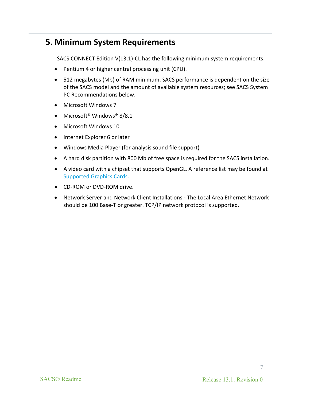# **5. Minimum System Requirements**

SACS CONNECT Edition V(13.1)-CL has the following minimum system requirements:

- Pentium 4 or higher central processing unit (CPU).
- 512 megabytes (Mb) of RAM minimum. SACS performance is dependent on the size of the SACS model and the amount of available system resources; see SACS System PC Recommendations below.
- Microsoft Windows 7
- Microsoft<sup>®</sup> Windows<sup>®</sup> 8/8.1
- Microsoft Windows 10
- Internet Explorer 6 or later
- Windows Media Player (for analysis sound file support)
- A hard disk partition with 800 Mb of free space is required for the SACS installation.
- A video card with a chipset that supports OpenGL. A reference list may be found at [Supported Graphics Cards.](http://developer.techsoft3d.com/hoops/hoops-visualize/graphics-cards/)
- CD-ROM or DVD-ROM drive.
- Network Server and Network Client Installations The Local Area Ethernet Network should be 100 Base-T or greater. TCP/IP network protocol is supported.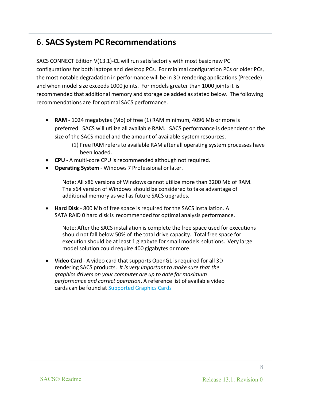### 6. **SACS System PC Recommendations**

SACS CONNECT Edition V(13.1)-CL will run satisfactorily with most basic new PC configurations for both laptops and desktop PCs. For minimal configuration PCs or older PCs, the most notable degradation in performance will be in 3D rendering applications (Precede) and when model size exceeds 1000 joints. For models greater than 1000 joints it is recommended that additional memory and storage be added as stated below. The following recommendations are for optimal SACS performance.

- **RAM** 1024 megabytes (Mb) of free (1) RAM minimum, 4096 Mb or more is preferred. SACS will utilize all available RAM. SACS performance is dependent on the size of the SACS model and the amount of available systemresources.
	- (1) Free RAM refersto available RAM after all operating system processes have been loaded.
- **CPU** A multi-core CPU is recommended although not required.
- **Operating System** Windows 7 Professional or later.

Note: All x86 versions of Windows cannot utilize more than 3200 Mb of RAM. The x64 version of Windows should be considered to take advantage of additional memory as well as future SACS upgrades.

• **Hard Disk** - 800 Mb of free space is required for the SACS installation. A SATA RAID 0 hard disk is recommended for optimal analysis performance.

Note: After the SACS installation is complete the free space used for executions should not fall below 50% of the total drive capacity. Total free space for execution should be at least 1 gigabyte for small models solutions. Very large model solution could require 400 gigabytes or more.

• **Video Card** - A video card that supports OpenGL is required for all 3D rendering SACS products. *It is very important to make sure that the graphics drivers on your computer are up to date for maximum performance and correct operation*. A reference list of available video cards can be found at [Supported Graphics Cards](http://developer.techsoft3d.com/hoops/hoops-visualize/graphics-cards/)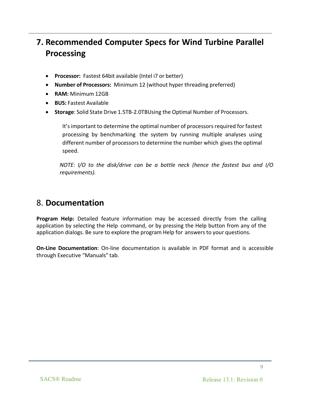# **7. Recommended Computer Specs for Wind Turbine Parallel Processing**

- **Processor:** Fastest 64bit available (Intel i7 or better)
- **Number of Processors:** Minimum 12 (without hyper threading preferred)
- **RAM:** Minimum 12GB
- **BUS:** Fastest Available
- **Storage**: Solid State Drive 1.5TB-2.0TBUsing the Optimal Number of Processors.

It's important to determine the optimal number of processors required for fastest processing by benchmarking the system by running multiple analyses using different number of processors to determine the number which givesthe optimal speed.

*NOTE: I/O to the disk/drive can be a bottle neck (hence the fastest bus and I/O requirements).*

### 8. **Documentation**

**Program Help:** Detailed feature information may be accessed directly from the calling application by selecting the Help command, or by pressing the Help button from any of the application dialogs. Be sure to explore the program Help for answersto your questions.

**On-Line Documentation**: On-line documentation is available in PDF format and is accessible through Executive "Manuals" tab.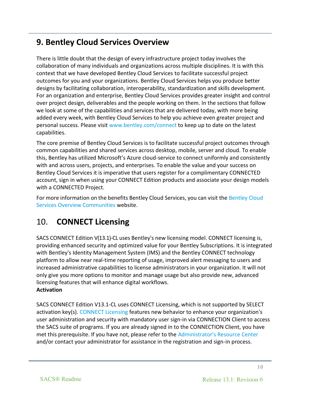# **9. Bentley Cloud Services Overview**

There is little doubt that the design of every infrastructure project today involves the collaboration of many individuals and organizations across multiple disciplines. It is with this context that we have developed Bentley Cloud Services to facilitate successful project outcomes for you and your organizations. Bentley Cloud Services helps you produce better designs by facilitating collaboration, interoperability, standardization and skills development. For an organization and enterprise, Bentley Cloud Services provides greater insight and control over project design, deliverables and the people working on them. In the sections that follow we look at some of the capabilities and services that are delivered today, with more being added every week, with Bentley Cloud Services to help you achieve even greater project and personal success. Please visit [www.bentley.com/connect](http://www.bentley.com/connect) to keep up to date on the latest capabilities.

The core premise of Bentley Cloud Services is to facilitate successful project outcomes through common capabilities and shared services across desktop, mobile, server and cloud. To enable this, Bentley has utilized Microsoft's Azure cloud-service to connect uniformly and consistently with and across users, projects, and enterprises. To enable the value and your success on Bentley Cloud Services it is imperative that users register for a complimentary CONNECTED account, sign in when using your CONNECT Edition products and associate your design models with a CONNECTED Project.

For more information on the benefits Bentley Cloud Services, you can visit the [Bentley Cloud](http://communities.bentley.com/communities/other_communities/sign-in_assistance_and_web_services/w/wiki/24305.bentley-cloud-services-overview)  [Services Overview Communities](http://communities.bentley.com/communities/other_communities/sign-in_assistance_and_web_services/w/wiki/24305.bentley-cloud-services-overview) website.

# 10. **CONNECT Licensing**

SACS CONNECT Edition V(13.1)-CL uses Bentley's new licensing model. CONNECT licensing is, providing enhanced security and optimized value for your Bentley Subscriptions. It is integrated with Bentley's Identity Management System (IMS) and the Bentley CONNECT technology platform to allow near real-time reporting of usage, improved alert messaging to users and increased administrative capabilities to license administrators in your organization. It will not only give you more options to monitor and manage usage but also provide new, advanced licensing features that will enhance digital workflows. **Activation**

SACS CONNECT Edition V13.1-CL uses CONNECT Licensing, which is not supported by SELECT activation key(s). [CONNECT Licensing](https://communities.bentley.com/products/licensing/w/licensing__wiki/37813/connect-licensing) features new behavior to enhance your organization's user administration and security with mandatory user sign-in via CONNECTION Client to access the SACS suite of programs. If you are already signed in to the CONNECTION Client, you have met this prerequisite. If you have not, please refer to the [Administrator's Resource Center](https://www.bentley.com/en/perspectives-and-viewpoints/topics/campaign/bentley-user-registration) and/or contact your administrator for assistance in the registration and sign-in process.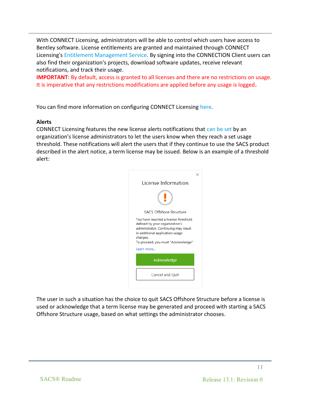With CONNECT Licensing, administrators will be able to control which users have access to Bentley software. License entitlements are granted and maintained through CONNECT Licensing's [Entitlement Management Service.](https://communities.bentley.com/products/licensing/w/licensing__wiki/38028/2---entitlement-management-configuration) By signing into the CONNECTION Client users can also find their organization's projects, download software updates, receive relevant notifications, and track their usage.

**IMPORTANT**: By default, access is granted to all licenses and there are no restrictions on usage. It is imperative that any restrictions modifications are applied before any usage is logged**.**

You can find more information on configuring CONNECT Licensing [here.](https://communities.bentley.com/products/licensing/w/licensing__wiki/37813/connect-licensing)

#### **Alerts**

CONNECT Licensing features the new license alerts notifications that [can be set](https://communities.bentley.com/products/licensing/w/licensing__wiki/40274/how-to-restrict-access-to-specific-products-under-connect-licensing) by an organization's license administrators to let the users know when they reach a set usage threshold. These notifications will alert the users that if they continue to use the SACS product described in the alert notice, a term license may be issued. Below is an example of a threshold alert:



The user in such a situation has the choice to quit SACS Offshore Structure before a license is used or acknowledge that a term license may be generated and proceed with starting a SACS Offshore Structure usage, based on what settings the administrator chooses.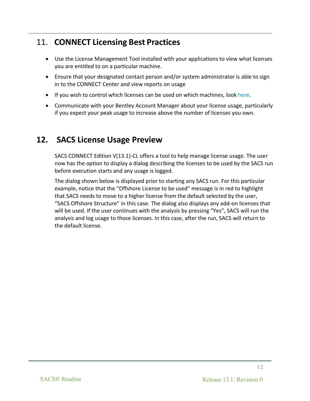# 11. **CONNECT Licensing Best Practices**

- Use the License Management Tool installed with your applications to view what licenses you are entitled to on a particular machine.
- Ensure that your designated contact person and/or system administrator is able to sign in to the CONNECT Center and view reports on usage
- If you wish to control which licenses can be used on which machines, look [here.](https://communities.bentley.com/products/licensing/w/licensing__wiki/40274/how-to-restrict-access-to-specific-products-under-connect-licensing)
- Communicate with your Bentley Account Manager about your license usage, particularly if you expect your peak usage to increase above the number of licenses you own.

# **12. SACS License Usage Preview**

SACS CONNECT Edition V(13.1)-CL offers a tool to help manage license usage. The user now has the option to display a dialog describing the licenses to be used by the SACS run before execution starts and any usage is logged.

The dialog shown below is displayed prior to starting any SACS run. For this particular example, notice that the "Offshore License to be used" message is in red to highlight that SACS needs to move to a higher license from the default selected by the user, "SACS Offshore Structure" in this case. The dialog also displays any add-on licenses that will be used. If the user continues with the analysis by pressing "Yes", SACS will run the analysis and log usage to those licenses. In this case, after the run, SACS will return to the default license.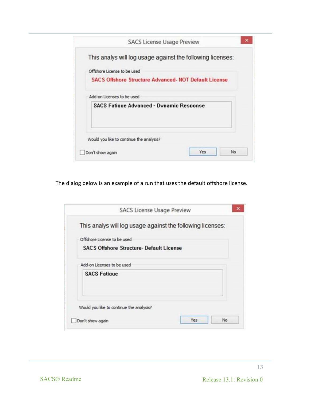| This analys will log usage against the following licenses:   |  |
|--------------------------------------------------------------|--|
| Offshore License to be used                                  |  |
| <b>SACS Offshore Structure Advanced. NOT Default License</b> |  |
| Add-on Licenses to be used                                   |  |
| <b>SACS Fatique Advanced - Dynamic Response</b>              |  |
|                                                              |  |
|                                                              |  |

The dialog below is an example of a run that uses the default offshore license.

| This analys will log usage against the following licenses: |  |
|------------------------------------------------------------|--|
| Offshore License to be used                                |  |
| <b>SACS Offshore Structure- Default License</b>            |  |
|                                                            |  |
| Add-on Licenses to be used                                 |  |
| <b>SACS Fatioue</b>                                        |  |
|                                                            |  |
|                                                            |  |
| Would you like to continue the analysis?                   |  |
|                                                            |  |
|                                                            |  |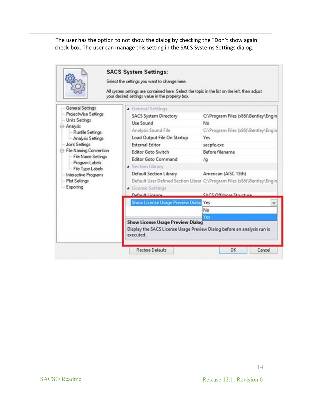The user has the option to not show the dialog by checking the "Don't show again" check-box. The user can manage this setting in the SACS Systems Settings dialog.

|                                                         | <b>Yes</b><br><b>Show License Usage Preview Dialog</b><br>Display the SACS License Usage Preview Dialog before an analysis run is<br>executed.                                                    |                                                                          |  |  |  |  |  |
|---------------------------------------------------------|---------------------------------------------------------------------------------------------------------------------------------------------------------------------------------------------------|--------------------------------------------------------------------------|--|--|--|--|--|
|                                                         | <b>Show License Usage Preview Dialoc Yes</b>                                                                                                                                                      | v<br>No                                                                  |  |  |  |  |  |
|                                                         | Default Licence                                                                                                                                                                                   | SACS Offehora Structure                                                  |  |  |  |  |  |
| Exporting                                               | License Settings                                                                                                                                                                                  |                                                                          |  |  |  |  |  |
| <b>Plot Settings</b>                                    |                                                                                                                                                                                                   | Default User Defined Section Librar C:\Program Files (x86)\Bentley\Engin |  |  |  |  |  |
| Interactive Programs                                    | Default Section Library                                                                                                                                                                           | American (AISC 13th)                                                     |  |  |  |  |  |
| File Type Labels                                        | <b>4</b> Section Library                                                                                                                                                                          |                                                                          |  |  |  |  |  |
| - File Name Settings<br>Program Labels                  | <b>Editor Goto Command</b>                                                                                                                                                                        | $\sqrt{q}$                                                               |  |  |  |  |  |
| E-File Naming Convention                                | <b>Editor Goto Switch</b>                                                                                                                                                                         | Before filename                                                          |  |  |  |  |  |
| <b>Joint Settings</b>                                   | <b>External Editor</b>                                                                                                                                                                            | sacpfe.exe                                                               |  |  |  |  |  |
| Analysis Settings                                       | Load Output File On Startup                                                                                                                                                                       | Yes                                                                      |  |  |  |  |  |
| <b>Runfile Settings</b>                                 | Analysis Sound File                                                                                                                                                                               | C:\Program Files (x86)\Bentley\Engin                                     |  |  |  |  |  |
|                                                         | Use Sound                                                                                                                                                                                         | <b>No</b>                                                                |  |  |  |  |  |
| ProjectWise Settings                                    |                                                                                                                                                                                                   |                                                                          |  |  |  |  |  |
| General Settings<br><b>Units Settings</b><br>- Analysis | <b>4</b> General Settings<br><b>SACS System Directory</b>                                                                                                                                         | C:\Program Files (x86)\Bentley\Engin                                     |  |  |  |  |  |
|                                                         | Select the settings you want to change here.<br>All system settings are contained here. Select the topic in the list on the left, then adjust<br>your desired settings value in the property box. |                                                                          |  |  |  |  |  |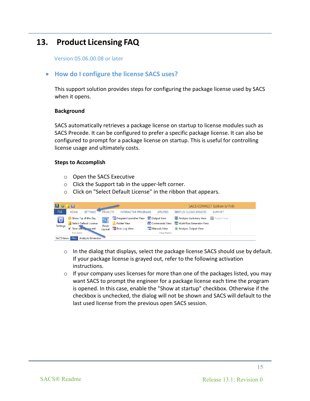# **13. Product Licensing FAQ**

Version 05.06.00.08 or later

### • **How do I configure the license SACS uses?**

This support solution provides steps for configuring the package license used by SACS when it opens.

#### **Background**

SACS automatically retrieves a package license on startup to license modules such as SACS Precede. It can be configured to prefer a specific package license. It can also be configured to prompt for a package license on startup. This is useful for controlling license usage and ultimately costs.

#### **Steps to Accomplish**

- o Open the SACS Executive
- o Click the Support tab in the upper-left corner.
- o Click on "Select Default License" in the ribbon that appears.



- $\circ$  In the dialog that displays, select the package license SACS should use by default. If your package license is grayed out, refer to the following activation instructions.
- $\circ$  If your company uses licenses for more than one of the packages listed, you may want SACS to prompt the engineer for a package license each time the program is opened. In this case, enable the "Show at startup" checkbox. Otherwise if the checkbox is unchecked, the dialog will not be shown and SACS will default to the last used license from the previous open SACS session.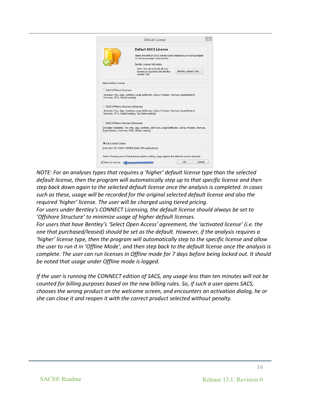

*NOTE: For an analyses types that requires a 'higher' default license type than the selected default license, then the program will automatically step up to that specific license and then step back down again to the selected default license once the analysis is completed. In cases such as these, usage will be recorded for the original selected default license and also the required 'higher' license. The user will be charged using tiered pricing.*

*For users under Bentley's CONNECT Licensing, the default license should always be set to 'Offshore Structure' to minimize usage of higher default licenses.* 

*For users that have Bentley's 'Select Open Access' agreement, the 'activated license' (i.e. the one that purchased/leased) should be set as the default. However, if the analysis requires a 'higher' license type, then the program will automatically step to the specific license and allow the user to run it in 'Offline Mode', and then step back to the default license once the analysis is complete. The user can run licenses in Offline mode for 7 days before being locked out. It should be noted that usage under Offline mode is logged.*

*If the user is running the CONNECT edition of SACS, any usage less than ten minutes will not be counted for billing purposes based on the new billing rules. So, if such a user opens SACS, chooses the wrong product on the welcome screen, and encounters an activation dialog, he or she can close it and reopen it with the correct product selected without penalty.*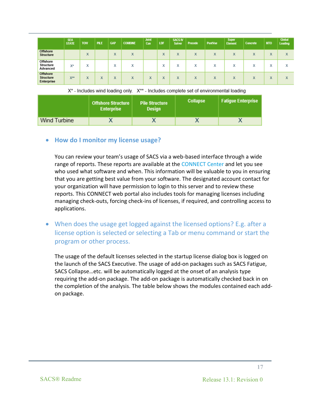|                                            | <b>SEA</b><br><b>STATE</b> | <b>TOW</b>        | <b>PILE</b> | <b>GAP</b>                           | <b>COMBINE</b>   | <b>Joint</b><br>Can | LDF                | <b>SACS IV</b><br>Solver | Precede | <b>PostVue</b> | <b>Super</b><br>Element | Concrete          | <b>MTO</b>         | <b>Global</b><br><b>Loading</b> |
|--------------------------------------------|----------------------------|-------------------|-------------|--------------------------------------|------------------|---------------------|--------------------|--------------------------|---------|----------------|-------------------------|-------------------|--------------------|---------------------------------|
| <b>Offshore</b><br><b>Structure</b>        |                            | X                 |             | $\overline{\mathbf{v}}$<br>$\lambda$ | X                |                     | $\mathcal{F}$<br>л | X                        | X       | X              | X                       | X                 | N.<br>^            | $\mathbf v$<br>л                |
| Offshore<br>Structure<br>Advanced          | X*                         | $\mathbf{v}$<br>л |             | $\overline{\phantom{a}}$<br>⋏        | $\tilde{ }$<br>́ |                     | $\mathbf{r}$<br>́  | $\checkmark$<br>́        | х       | х              | $\checkmark$<br>ㅅ       | $\checkmark$<br>л | $\mathcal{L}$<br>́ | $\overline{\phantom{a}}$<br>⋏   |
| Offshore<br><b>Structure</b><br>Enterprise | $X^{**}$                   | х                 | X           | $\mathbf{v}$<br>⋏                    | X                | X                   | $\mathbf{A}$<br>л  | $\mathbf{v}$<br>⋏        | X       | X              | X                       | X                 | $\mathbf{v}$<br>∼  | X                               |

X\* - Includes wind loading only. X\*\* - Includes complete set of environmental loading

|              | <b>Offshore Structure</b><br><b>Enterprise</b> | <b>Pile Structure</b><br><b>Design</b> | <b>Collapse</b> | <b>Fatigue Enterprise</b> |
|--------------|------------------------------------------------|----------------------------------------|-----------------|---------------------------|
| Wind Turbine |                                                |                                        |                 |                           |

### • **How do I monitor my license usage?**

You can review your team's usage of SACS via a web-based interface through a wide range of reports. These reports are available at the [CONNECT Center](https://connect.bentley.com/) and let you see who used what software and when. This information will be valuable to you in ensuring that you are getting best value from your software. The designated account contact for your organization will have permission to login to this server and to review these reports. This CONNECT web portal also includes tools for managing licenses including managing check-outs, forcing check-ins of licenses, if required, and controlling access to applications.

• When does the usage get logged against the licensed options? E.g. after a license option is selected or selecting a Tab or menu command or start the program or other process.

The usage of the default licenses selected in the startup license dialog box is logged on the launch of the SACS Executive. The usage of add-on packages such as SACS Fatigue, SACS Collapse…etc. will be automatically logged at the onset of an analysis type requiring the add-on package. The add-on package is automatically checked back in on the completion of the analysis. The table below shows the modules contained each addon package.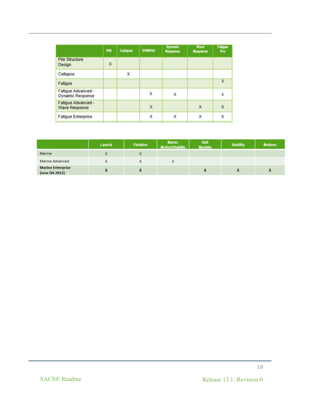|                                        | <b>PSI</b> | Collapse | <b>DYNPAC</b> | <b>Dynamic</b><br><b>Response</b> | Wave<br><b>Response</b> | <b>Fatigue</b><br>Pro |
|----------------------------------------|------------|----------|---------------|-----------------------------------|-------------------------|-----------------------|
| Pile Structure<br>Design               | X          |          |               |                                   |                         |                       |
| Collapse                               |            | х        |               |                                   |                         |                       |
| Fatigue                                |            |          |               |                                   |                         | X                     |
| Fatigue Advanced -<br>Dynamic Response |            |          | х             | х                                 |                         | х                     |
| Fatigue Advanced -<br>Wave Response    |            |          | X             |                                   | X                       | X                     |
| <b>Fatigue Enterprise</b>              |            |          | х             | х                                 | х                       | X                     |
|                                        |            |          |               |                                   |                         |                       |

|                                           | Launch | <b>Flotation</b> | <b>Martec</b><br><b>Motion/Stability</b> | <b>Hull</b><br><b>Modeler</b> | <b>Stability</b> | <b>Motions</b> |
|-------------------------------------------|--------|------------------|------------------------------------------|-------------------------------|------------------|----------------|
| Marine                                    |        |                  |                                          |                               |                  |                |
| Marine Advanced                           |        |                  |                                          |                               |                  |                |
| <b>Marine Enterprise</b><br>(new Q4 2012) |        |                  |                                          |                               |                  |                |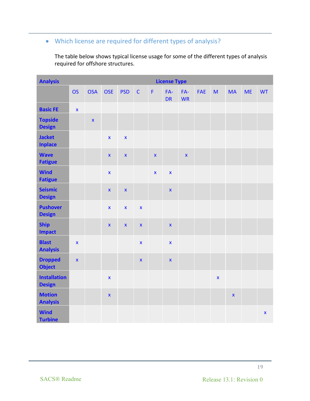### • Which license are required for different types of analysis?

The table below shows typical license usage for some of the different types of analysis required for offshore structures.

| <b>Analysis</b>                      |                    | <b>License Type</b> |                    |                         |                    |              |                    |                    |            |             |                    |           |                    |
|--------------------------------------|--------------------|---------------------|--------------------|-------------------------|--------------------|--------------|--------------------|--------------------|------------|-------------|--------------------|-----------|--------------------|
|                                      | <b>OS</b>          | <b>OSA</b>          | <b>OSE</b>         | <b>PSD</b>              | $\mathsf{C}$       | $\mathsf F$  | FA-<br><b>DR</b>   | $FA-$<br><b>WR</b> | <b>FAE</b> | M           | <b>MA</b>          | <b>ME</b> | <b>WT</b>          |
| <b>Basic FE</b>                      | $\bar{\mathbf{x}}$ |                     |                    |                         |                    |              |                    |                    |            |             |                    |           |                    |
| <b>Topside</b><br><b>Design</b>      |                    | $\bar{\mathbf{x}}$  |                    |                         |                    |              |                    |                    |            |             |                    |           |                    |
| <b>Jacket</b><br><b>Inplace</b>      |                    |                     | $\mathbf{x}$       | $\overline{\mathbf{x}}$ |                    |              |                    |                    |            |             |                    |           |                    |
| <b>Wave</b><br><b>Fatigue</b>        |                    |                     | $\pmb{\mathsf{x}}$ | $\bar{\mathbf{X}}$      |                    | $\mathbf{x}$ |                    | $\pmb{\mathsf{x}}$ |            |             |                    |           |                    |
| <b>Wind</b><br><b>Fatigue</b>        |                    |                     | $\mathbf{x}$       |                         |                    | $\mathbf{x}$ | $\mathbf{x}$       |                    |            |             |                    |           |                    |
| <b>Seismic</b><br><b>Design</b>      |                    |                     | $\pmb{\mathsf{x}}$ | $\bar{\mathbf{x}}$      |                    |              | $\bar{\mathbf{X}}$ |                    |            |             |                    |           |                    |
| <b>Pushover</b><br><b>Design</b>     |                    |                     | $\pmb{\mathsf{x}}$ | $\bar{\mathbf{X}}$      | $\bar{\mathbf{X}}$ |              |                    |                    |            |             |                    |           |                    |
| <b>Ship</b><br><b>Impact</b>         |                    |                     | $\pmb{\mathsf{x}}$ | $\pmb{\mathsf{X}}$      | $\bar{\mathbf{x}}$ |              | $\pmb{\mathsf{x}}$ |                    |            |             |                    |           |                    |
| <b>Blast</b><br><b>Analysis</b>      | $\mathbf{x}$       |                     |                    |                         | $\bar{\mathbf{X}}$ |              | $\bar{\mathbf{x}}$ |                    |            |             |                    |           |                    |
| <b>Dropped</b><br><b>Object</b>      | $\mathbf{x}$       |                     |                    |                         | $\bar{\mathbf{x}}$ |              | $\bar{\mathbf{X}}$ |                    |            |             |                    |           |                    |
| <b>Installation</b><br><b>Design</b> |                    |                     | $\pmb{\mathsf{x}}$ |                         |                    |              |                    |                    |            | $\mathbf x$ |                    |           |                    |
| <b>Motion</b><br><b>Analysis</b>     |                    |                     | $\bar{\mathbf{x}}$ |                         |                    |              |                    |                    |            |             | $\pmb{\mathsf{X}}$ |           |                    |
| <b>Wind</b><br><b>Turbine</b>        |                    |                     |                    |                         |                    |              |                    |                    |            |             |                    |           | $\bar{\mathbf{x}}$ |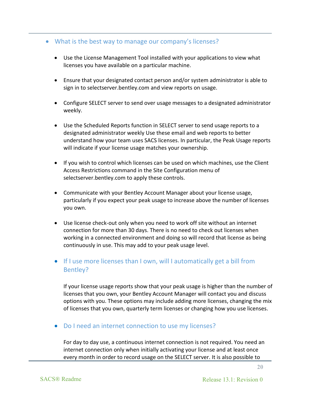### • What is the best way to manage our company's licenses?

- Use the License Management Tool installed with your applications to view what licenses you have available on a particular machine.
- Ensure that your designated contact person and/or system administrator is able to sign in to selectserver.bentley.com and view reports on usage.
- Configure SELECT server to send over usage messages to a designated administrator weekly.
- Use the Scheduled Reports function in SELECT server to send usage reports to a designated administrator weekly Use these email and web reports to better understand how your team uses SACS licenses. In particular, the Peak Usage reports will indicate if your license usage matches your ownership.
- If you wish to control which licenses can be used on which machines, use the Client Access Restrictions command in the Site Configuration menu of selectserver.bentley.com to apply these controls.
- Communicate with your Bentley Account Manager about your license usage, particularly if you expect your peak usage to increase above the number of licenses you own.
- Use license check-out only when you need to work off site without an internet connection for more than 30 days. There is no need to check out licenses when working in a connected environment and doing so will record that license as being continuously in use. This may add to your peak usage level.
- If I use more licenses than I own, will I automatically get a bill from Bentley?

If your license usage reports show that your peak usage is higher than the number of licenses that you own, your Bentley Account Manager will contact you and discuss options with you. These options may include adding more licenses, changing the mix of licenses that you own, quarterly term licenses or changing how you use licenses.

• Do I need an internet connection to use my licenses?

For day to day use, a continuous internet connection is not required. You need an internet connection only when initially activating your license and at least once every month in order to record usage on the SELECT server. It is also possible to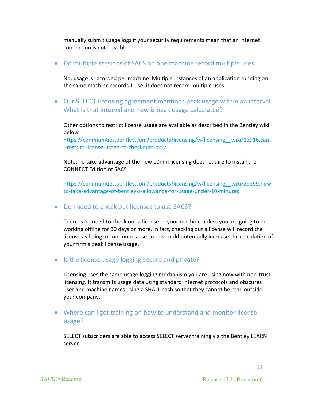manually submit usage logs if your security requirements mean that an internet connection is not possible.

• Do multiple sessions of SACS on one machine record multiple uses

No, usage is recorded per machine. Multiple instances of an application running on the same machine records 1 use, it does not record multiple uses.

• Our SELECT licensing agreement mentions peak usage within an interval. What is that interval and how is peak usage calculated?

Other options to restrict license usage are available as described in the Bentley wiki below

[https://communities.bentley.com/products/licensing/w/licensing\\_\\_wiki/13916.can](https://communities.bentley.com/products/licensing/w/licensing__wiki/13916.can-i-restrict-license-usage-to-checkouts-only)[i-restrict-license-usage-to-checkouts-onl](https://communities.bentley.com/products/licensing/w/licensing__wiki/13916.can-i-restrict-license-usage-to-checkouts-only)*y*

Note: To take advantage of the new 10min licensing does require to install the CONNECT Edition of SACS

[https://communities.bentley.com/products/licensing/w/licensing\\_\\_wiki/29899.how](https://communities.bentley.com/products/licensing/w/licensing__wiki/29899.how-to-take-advantage-of-bentley-s-allowance-for-usage-under-10-minutes)[to-take-advantage-of-bentley-s-allowance-for-usage-under-10-minutes](https://communities.bentley.com/products/licensing/w/licensing__wiki/29899.how-to-take-advantage-of-bentley-s-allowance-for-usage-under-10-minutes)

• Do I need to check out licenses to use SACS?

There is no need to check out a license to your machine unless you are going to be working offline for 30 days or more. In fact, checking out a license will record the license as being in continuous use so this could potentially increase the calculation of your firm's peak license usage.

• Is the license usage logging secure and private?

Licensing uses the same usage logging mechanism you are using now with non-trust licensing. It transmits usage data using standard internet protocols and obscures user and machine names using a SHA-1 hash so that they cannot be read outside your company.

• Where can I get training on how to understand and monitor license usage?

SELECT subscribers are able to access SELECT server training via the Bentley LEARN server.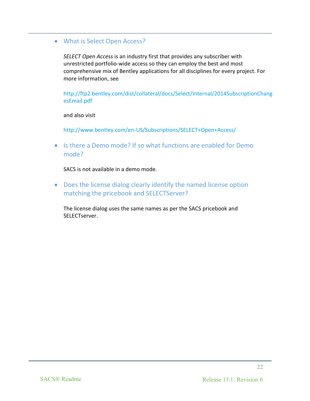### • What is Select Open Access?

*SELECT Open Access* is an industry first that provides any subscriber with unrestricted portfolio-wide access so they can employ the best and most comprehensive mix of Bentley applications for all disciplines for every project. For more information, see

[http://ftp2.bentley.com/dist/collateral/docs/Select/Internal/2014SubscriptionChang](http://ftp2.bentley.com/dist/collateral/docs/Select/Internal/2014SubscriptionChangesEmail.pdf) [esEmail.pdf](http://ftp2.bentley.com/dist/collateral/docs/Select/Internal/2014SubscriptionChangesEmail.pdf)

and also visit

<http://www.bentley.com/en-US/Subscriptions/SELECT+Open+Access/>

• Is there a Demo mode? If so what functions are enabled for Demo mode?

SACS is not available in a demo mode.

• Does the license dialog clearly identify the named license option matching the pricebook and SELECTServer?

The license dialog uses the same names as per the SACS pricebook and SELECTserver.